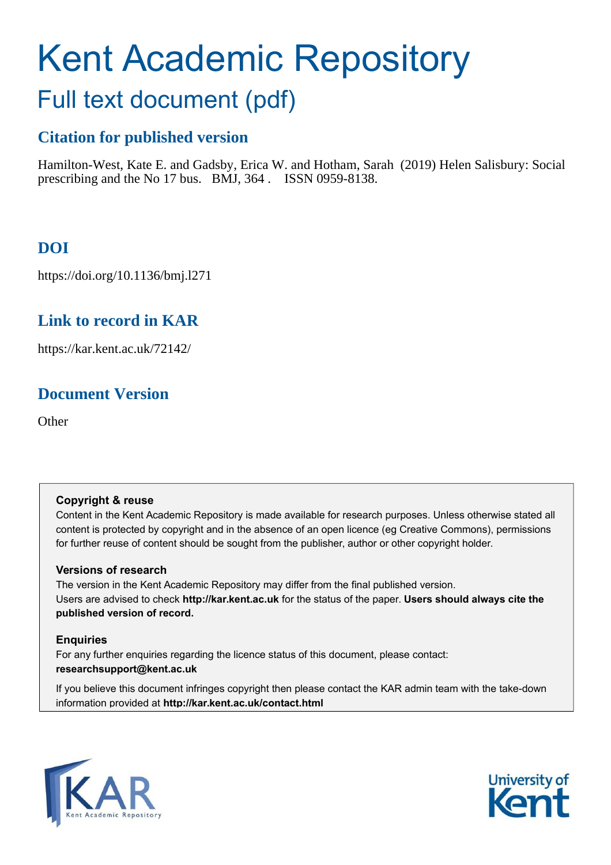# Kent Academic Repository

## Full text document (pdf)

### **Citation for published version**

Hamilton-West, Kate E. and Gadsby, Erica W. and Hotham, Sarah (2019) Helen Salisbury: Social prescribing and the No 17 bus. BMJ, 364 . ISSN 0959-8138.

## **DOI**

https://doi.org/10.1136/bmj.l271

#### **Link to record in KAR**

https://kar.kent.ac.uk/72142/

## **Document Version**

**Other** 

#### **Copyright & reuse**

Content in the Kent Academic Repository is made available for research purposes. Unless otherwise stated all content is protected by copyright and in the absence of an open licence (eg Creative Commons), permissions for further reuse of content should be sought from the publisher, author or other copyright holder.

#### **Versions of research**

The version in the Kent Academic Repository may differ from the final published version. Users are advised to check **http://kar.kent.ac.uk** for the status of the paper. **Users should always cite the published version of record.**

#### **Enquiries**

For any further enquiries regarding the licence status of this document, please contact: **researchsupport@kent.ac.uk**

If you believe this document infringes copyright then please contact the KAR admin team with the take-down information provided at **http://kar.kent.ac.uk/contact.html**



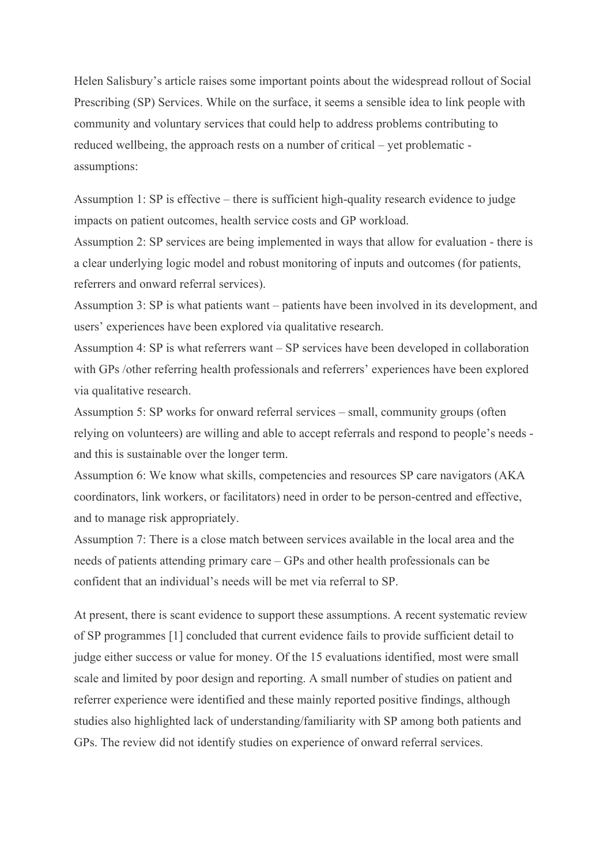Helen Salisbury's article raises some important points about the widespread rollout of Social Prescribing (SP) Services. While on the surface, it seems a sensible idea to link people with community and voluntary services that could help to address problems contributing to reduced wellbeing, the approach rests on a number of critical – yet problematic assumptions:

Assumption 1: SP is effective – there is sufficient high-quality research evidence to judge impacts on patient outcomes, health service costs and GP workload.

Assumption 2: SP services are being implemented in ways that allow for evaluation - there is a clear underlying logic model and robust monitoring of inputs and outcomes (for patients, referrers and onward referral services).

Assumption 3: SP is what patients want – patients have been involved in its development, and users' experiences have been explored via qualitative research.

Assumption 4: SP is what referrers want – SP services have been developed in collaboration with GPs /other referring health professionals and referrers' experiences have been explored via qualitative research.

Assumption 5: SP works for onward referral services – small, community groups (often relying on volunteers) are willing and able to accept referrals and respond to people's needs and this is sustainable over the longer term.

Assumption 6: We know what skills, competencies and resources SP care navigators (AKA coordinators, link workers, or facilitators) need in order to be person-centred and effective, and to manage risk appropriately.

Assumption 7: There is a close match between services available in the local area and the needs of patients attending primary care – GPs and other health professionals can be confident that an individual's needs will be met via referral to SP.

At present, there is scant evidence to support these assumptions. A recent systematic review of SP programmes [1] concluded that current evidence fails to provide sufficient detail to judge either success or value for money. Of the 15 evaluations identified, most were small scale and limited by poor design and reporting. A small number of studies on patient and referrer experience were identified and these mainly reported positive findings, although studies also highlighted lack of understanding/familiarity with SP among both patients and GPs. The review did not identify studies on experience of onward referral services.